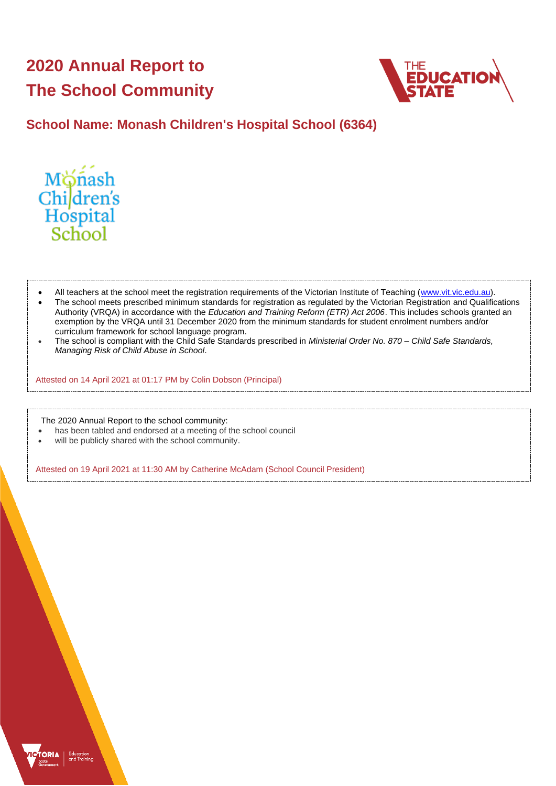# **2020 Annual Report to The School Community**



## **School Name: Monash Children's Hospital School (6364)**



- All teachers at the school meet the registration requirements of the Victorian Institute of Teaching [\(www.vit.vic.edu.au\)](https://www.vit.vic.edu.au/).
- The school meets prescribed minimum standards for registration as regulated by the Victorian Registration and Qualifications Authority (VRQA) in accordance with the *Education and Training Reform (ETR) Act 2006*. This includes schools granted an exemption by the VRQA until 31 December 2020 from the minimum standards for student enrolment numbers and/or curriculum framework for school language program.
- The school is compliant with the Child Safe Standards prescribed in *Ministerial Order No. 870 – Child Safe Standards, Managing Risk of Child Abuse in School*.

Attested on 14 April 2021 at 01:17 PM by Colin Dobson (Principal)

The 2020 Annual Report to the school community:

- has been tabled and endorsed at a meeting of the school council
- will be publicly shared with the school community.

Attested on 19 April 2021 at 11:30 AM by Catherine McAdam (School Council President)

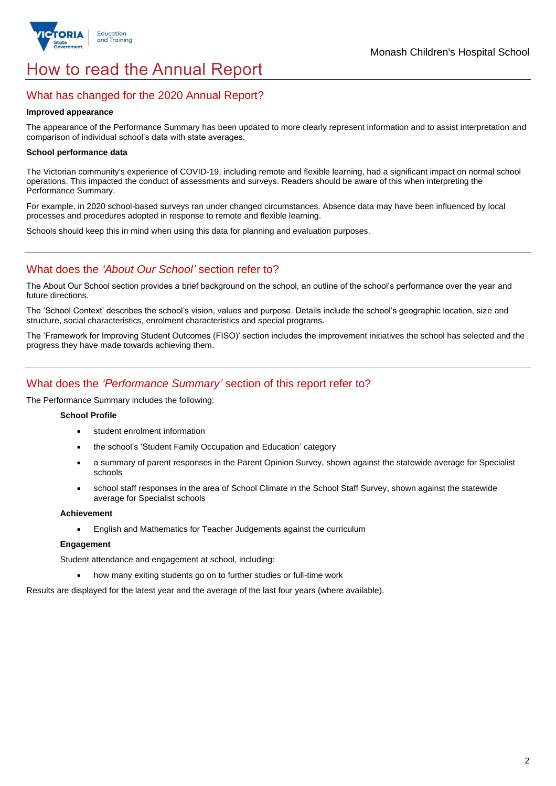

# How to read the Annual Report

## What has changed for the 2020 Annual Report?

#### **Improved appearance**

The appearance of the Performance Summary has been updated to more clearly represent information and to assist interpretation and comparison of individual school's data with state averages.

### **School performance data**

The Victorian community's experience of COVID-19, including remote and flexible learning, had a significant impact on normal school operations. This impacted the conduct of assessments and surveys. Readers should be aware of this when interpreting the Performance Summary.

For example, in 2020 school-based surveys ran under changed circumstances. Absence data may have been influenced by local processes and procedures adopted in response to remote and flexible learning.

Schools should keep this in mind when using this data for planning and evaluation purposes.

## What does the *'About Our School'* section refer to?

The About Our School section provides a brief background on the school, an outline of the school's performance over the year and future directions.

The 'School Context' describes the school's vision, values and purpose. Details include the school's geographic location, size and structure, social characteristics, enrolment characteristics and special programs.

The 'Framework for Improving Student Outcomes (FISO)' section includes the improvement initiatives the school has selected and the progress they have made towards achieving them.

## What does the *'Performance Summary'* section of this report refer to?

The Performance Summary includes the following:

### **School Profile**

- student enrolment information
- the school's 'Student Family Occupation and Education' category
- a summary of parent responses in the Parent Opinion Survey, shown against the statewide average for Specialist schools
- school staff responses in the area of School Climate in the School Staff Survey, shown against the statewide average for Specialist schools

#### **Achievement**

• English and Mathematics for Teacher Judgements against the curriculum

#### **Engagement**

Student attendance and engagement at school, including:

• how many exiting students go on to further studies or full-time work

Results are displayed for the latest year and the average of the last four years (where available).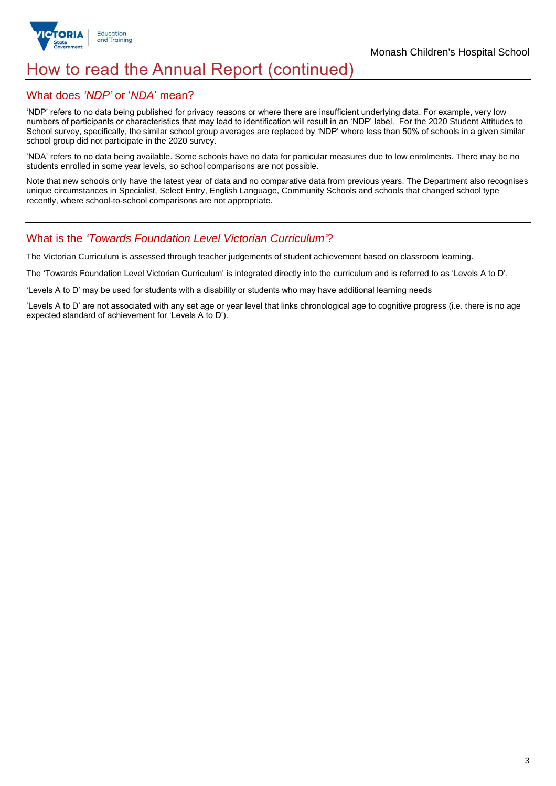

## How to read the Annual Report (continued)

## What does *'NDP'* or '*NDA*' mean?

'NDP' refers to no data being published for privacy reasons or where there are insufficient underlying data. For example, very low numbers of participants or characteristics that may lead to identification will result in an 'NDP' label. For the 2020 Student Attitudes to School survey, specifically, the similar school group averages are replaced by 'NDP' where less than 50% of schools in a given similar school group did not participate in the 2020 survey.

'NDA' refers to no data being available. Some schools have no data for particular measures due to low enrolments. There may be no students enrolled in some year levels, so school comparisons are not possible.

Note that new schools only have the latest year of data and no comparative data from previous years. The Department also recognises unique circumstances in Specialist, Select Entry, English Language, Community Schools and schools that changed school type recently, where school-to-school comparisons are not appropriate.

## What is the *'Towards Foundation Level Victorian Curriculum'*?

The Victorian Curriculum is assessed through teacher judgements of student achievement based on classroom learning.

The 'Towards Foundation Level Victorian Curriculum' is integrated directly into the curriculum and is referred to as 'Levels A to D'.

'Levels A to D' may be used for students with a disability or students who may have additional learning needs

'Levels A to D' are not associated with any set age or year level that links chronological age to cognitive progress (i.e. there is no age expected standard of achievement for 'Levels A to D').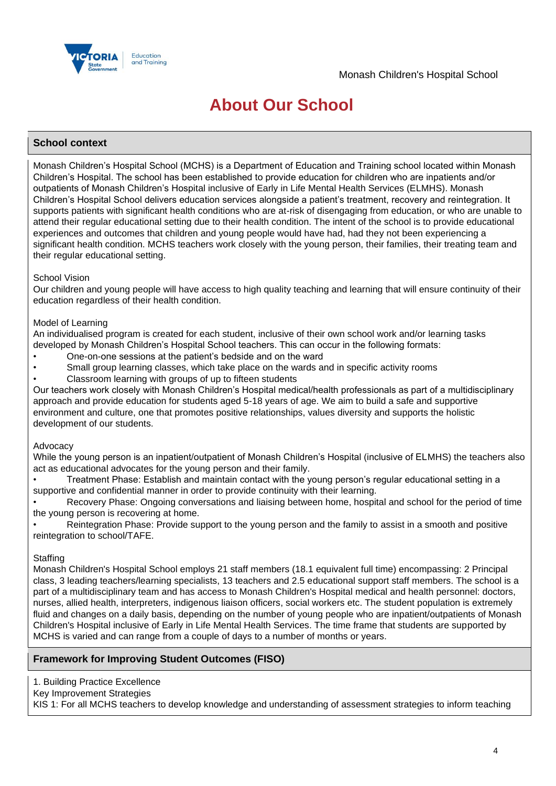

# **About Our School**

## **School context**

Monash Children's Hospital School (MCHS) is a Department of Education and Training school located within Monash Children's Hospital. The school has been established to provide education for children who are inpatients and/or outpatients of Monash Children's Hospital inclusive of Early in Life Mental Health Services (ELMHS). Monash Children's Hospital School delivers education services alongside a patient's treatment, recovery and reintegration. It supports patients with significant health conditions who are at-risk of disengaging from education, or who are unable to attend their regular educational setting due to their health condition. The intent of the school is to provide educational experiences and outcomes that children and young people would have had, had they not been experiencing a significant health condition. MCHS teachers work closely with the young person, their families, their treating team and their regular educational setting.

### School Vision

Our children and young people will have access to high quality teaching and learning that will ensure continuity of their education regardless of their health condition.

#### Model of Learning

An individualised program is created for each student, inclusive of their own school work and/or learning tasks developed by Monash Children's Hospital School teachers. This can occur in the following formats:

- One-on-one sessions at the patient's bedside and on the ward
- Small group learning classes, which take place on the wards and in specific activity rooms
- Classroom learning with groups of up to fifteen students

Our teachers work closely with Monash Children's Hospital medical/health professionals as part of a multidisciplinary approach and provide education for students aged 5-18 years of age. We aim to build a safe and supportive environment and culture, one that promotes positive relationships, values diversity and supports the holistic development of our students.

#### Advocacy

While the young person is an inpatient/outpatient of Monash Children's Hospital (inclusive of ELMHS) the teachers also act as educational advocates for the young person and their family.

• Treatment Phase: Establish and maintain contact with the young person's regular educational setting in a supportive and confidential manner in order to provide continuity with their learning.

• Recovery Phase: Ongoing conversations and liaising between home, hospital and school for the period of time the young person is recovering at home.

• Reintegration Phase: Provide support to the young person and the family to assist in a smooth and positive reintegration to school/TAFE.

#### **Staffing**

Monash Children's Hospital School employs 21 staff members (18.1 equivalent full time) encompassing: 2 Principal class, 3 leading teachers/learning specialists, 13 teachers and 2.5 educational support staff members. The school is a part of a multidisciplinary team and has access to Monash Children's Hospital medical and health personnel: doctors, nurses, allied health, interpreters, indigenous liaison officers, social workers etc. The student population is extremely fluid and changes on a daily basis, depending on the number of young people who are inpatient/outpatients of Monash Children's Hospital inclusive of Early in Life Mental Health Services. The time frame that students are supported by MCHS is varied and can range from a couple of days to a number of months or years.

### **Framework for Improving Student Outcomes (FISO)**

1. Building Practice Excellence

Key Improvement Strategies

KIS 1: For all MCHS teachers to develop knowledge and understanding of assessment strategies to inform teaching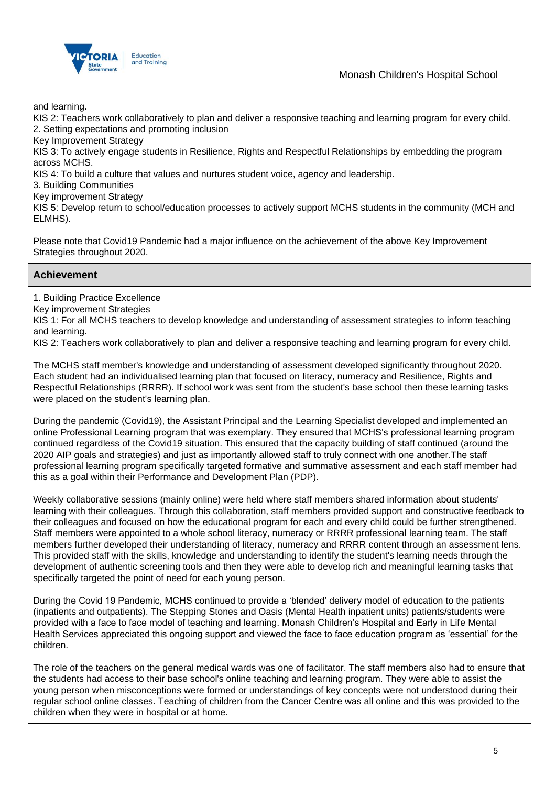## Monash Children's Hospital School



and learning.

KIS 2: Teachers work collaboratively to plan and deliver a responsive teaching and learning program for every child. 2. Setting expectations and promoting inclusion

Key Improvement Strategy

KIS 3: To actively engage students in Resilience, Rights and Respectful Relationships by embedding the program across MCHS.

KIS 4: To build a culture that values and nurtures student voice, agency and leadership.

3. Building Communities

Key improvement Strategy

KIS 5: Develop return to school/education processes to actively support MCHS students in the community (MCH and ELMHS).

Please note that Covid19 Pandemic had a major influence on the achievement of the above Key Improvement Strategies throughout 2020.

## **Achievement**

1. Building Practice Excellence

Key improvement Strategies

KIS 1: For all MCHS teachers to develop knowledge and understanding of assessment strategies to inform teaching and learning.

KIS 2: Teachers work collaboratively to plan and deliver a responsive teaching and learning program for every child.

The MCHS staff member's knowledge and understanding of assessment developed significantly throughout 2020. Each student had an individualised learning plan that focused on literacy, numeracy and Resilience, Rights and Respectful Relationships (RRRR). If school work was sent from the student's base school then these learning tasks were placed on the student's learning plan.

During the pandemic (Covid19), the Assistant Principal and the Learning Specialist developed and implemented an online Professional Learning program that was exemplary. They ensured that MCHS's professional learning program continued regardless of the Covid19 situation. This ensured that the capacity building of staff continued (around the 2020 AIP goals and strategies) and just as importantly allowed staff to truly connect with one another.The staff professional learning program specifically targeted formative and summative assessment and each staff member had this as a goal within their Performance and Development Plan (PDP).

Weekly collaborative sessions (mainly online) were held where staff members shared information about students' learning with their colleagues. Through this collaboration, staff members provided support and constructive feedback to their colleagues and focused on how the educational program for each and every child could be further strengthened. Staff members were appointed to a whole school literacy, numeracy or RRRR professional learning team. The staff members further developed their understanding of literacy, numeracy and RRRR content through an assessment lens. This provided staff with the skills, knowledge and understanding to identify the student's learning needs through the development of authentic screening tools and then they were able to develop rich and meaningful learning tasks that specifically targeted the point of need for each young person.

During the Covid 19 Pandemic, MCHS continued to provide a 'blended' delivery model of education to the patients (inpatients and outpatients). The Stepping Stones and Oasis (Mental Health inpatient units) patients/students were provided with a face to face model of teaching and learning. Monash Children's Hospital and Early in Life Mental Health Services appreciated this ongoing support and viewed the face to face education program as 'essential' for the children.

The role of the teachers on the general medical wards was one of facilitator. The staff members also had to ensure that the students had access to their base school's online teaching and learning program. They were able to assist the young person when misconceptions were formed or understandings of key concepts were not understood during their regular school online classes. Teaching of children from the Cancer Centre was all online and this was provided to the children when they were in hospital or at home.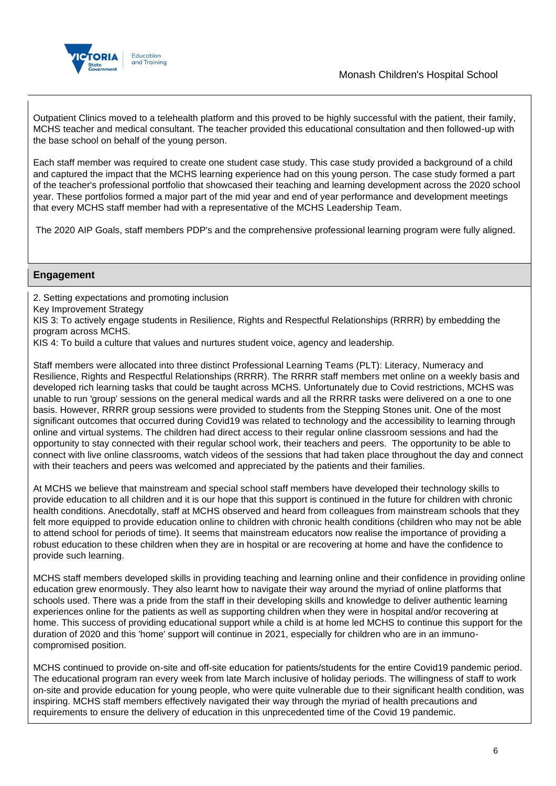

Outpatient Clinics moved to a telehealth platform and this proved to be highly successful with the patient, their family, MCHS teacher and medical consultant. The teacher provided this educational consultation and then followed-up with the base school on behalf of the young person.

Each staff member was required to create one student case study. This case study provided a background of a child and captured the impact that the MCHS learning experience had on this young person. The case study formed a part of the teacher's professional portfolio that showcased their teaching and learning development across the 2020 school year. These portfolios formed a major part of the mid year and end of year performance and development meetings that every MCHS staff member had with a representative of the MCHS Leadership Team.

The 2020 AIP Goals, staff members PDP's and the comprehensive professional learning program were fully aligned.

## **Engagement**

2. Setting expectations and promoting inclusion

Key Improvement Strategy

KIS 3: To actively engage students in Resilience, Rights and Respectful Relationships (RRRR) by embedding the program across MCHS.

KIS 4: To build a culture that values and nurtures student voice, agency and leadership.

Staff members were allocated into three distinct Professional Learning Teams (PLT): Literacy, Numeracy and Resilience, Rights and Respectful Relationships (RRRR). The RRRR staff members met online on a weekly basis and developed rich learning tasks that could be taught across MCHS. Unfortunately due to Covid restrictions, MCHS was unable to run 'group' sessions on the general medical wards and all the RRRR tasks were delivered on a one to one basis. However, RRRR group sessions were provided to students from the Stepping Stones unit. One of the most significant outcomes that occurred during Covid19 was related to technology and the accessibility to learning through online and virtual systems. The children had direct access to their regular online classroom sessions and had the opportunity to stay connected with their regular school work, their teachers and peers. The opportunity to be able to connect with live online classrooms, watch videos of the sessions that had taken place throughout the day and connect with their teachers and peers was welcomed and appreciated by the patients and their families.

At MCHS we believe that mainstream and special school staff members have developed their technology skills to provide education to all children and it is our hope that this support is continued in the future for children with chronic health conditions. Anecdotally, staff at MCHS observed and heard from colleagues from mainstream schools that they felt more equipped to provide education online to children with chronic health conditions (children who may not be able to attend school for periods of time). It seems that mainstream educators now realise the importance of providing a robust education to these children when they are in hospital or are recovering at home and have the confidence to provide such learning.

MCHS staff members developed skills in providing teaching and learning online and their confidence in providing online education grew enormously. They also learnt how to navigate their way around the myriad of online platforms that schools used. There was a pride from the staff in their developing skills and knowledge to deliver authentic learning experiences online for the patients as well as supporting children when they were in hospital and/or recovering at home. This success of providing educational support while a child is at home led MCHS to continue this support for the duration of 2020 and this 'home' support will continue in 2021, especially for children who are in an immunocompromised position.

MCHS continued to provide on-site and off-site education for patients/students for the entire Covid19 pandemic period. The educational program ran every week from late March inclusive of holiday periods. The willingness of staff to work on-site and provide education for young people, who were quite vulnerable due to their significant health condition, was inspiring. MCHS staff members effectively navigated their way through the myriad of health precautions and requirements to ensure the delivery of education in this unprecedented time of the Covid 19 pandemic.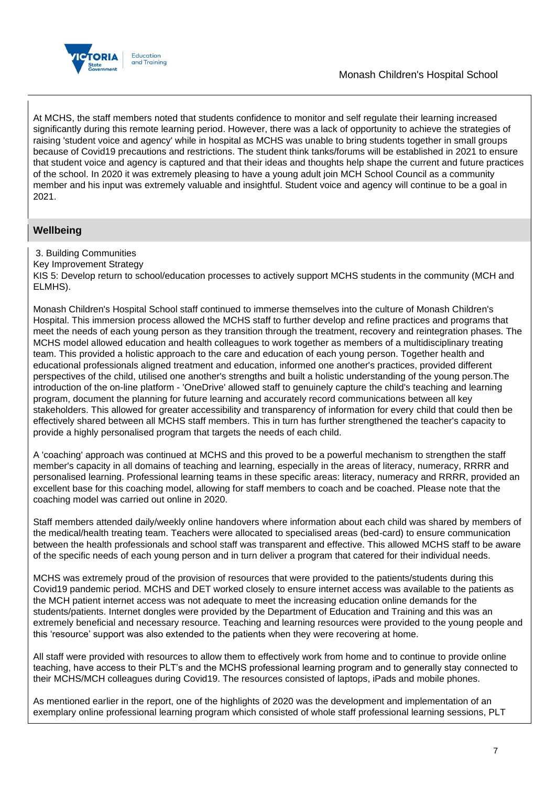

At MCHS, the staff members noted that students confidence to monitor and self regulate their learning increased significantly during this remote learning period. However, there was a lack of opportunity to achieve the strategies of raising 'student voice and agency' while in hospital as MCHS was unable to bring students together in small groups because of Covid19 precautions and restrictions. The student think tanks/forums will be established in 2021 to ensure that student voice and agency is captured and that their ideas and thoughts help shape the current and future practices of the school. In 2020 it was extremely pleasing to have a young adult join MCH School Council as a community member and his input was extremely valuable and insightful. Student voice and agency will continue to be a goal in 2021.

## **Wellbeing**

3. Building Communities

Key Improvement Strategy

KIS 5: Develop return to school/education processes to actively support MCHS students in the community (MCH and ELMHS).

Monash Children's Hospital School staff continued to immerse themselves into the culture of Monash Children's Hospital. This immersion process allowed the MCHS staff to further develop and refine practices and programs that meet the needs of each young person as they transition through the treatment, recovery and reintegration phases. The MCHS model allowed education and health colleagues to work together as members of a multidisciplinary treating team. This provided a holistic approach to the care and education of each young person. Together health and educational professionals aligned treatment and education, informed one another's practices, provided different perspectives of the child, utilised one another's strengths and built a holistic understanding of the young person.The introduction of the on-line platform - 'OneDrive' allowed staff to genuinely capture the child's teaching and learning program, document the planning for future learning and accurately record communications between all key stakeholders. This allowed for greater accessibility and transparency of information for every child that could then be effectively shared between all MCHS staff members. This in turn has further strengthened the teacher's capacity to provide a highly personalised program that targets the needs of each child.

A 'coaching' approach was continued at MCHS and this proved to be a powerful mechanism to strengthen the staff member's capacity in all domains of teaching and learning, especially in the areas of literacy, numeracy, RRRR and personalised learning. Professional learning teams in these specific areas: literacy, numeracy and RRRR, provided an excellent base for this coaching model, allowing for staff members to coach and be coached. Please note that the coaching model was carried out online in 2020.

Staff members attended daily/weekly online handovers where information about each child was shared by members of the medical/health treating team. Teachers were allocated to specialised areas (bed-card) to ensure communication between the health professionals and school staff was transparent and effective. This allowed MCHS staff to be aware of the specific needs of each young person and in turn deliver a program that catered for their individual needs.

MCHS was extremely proud of the provision of resources that were provided to the patients/students during this Covid19 pandemic period. MCHS and DET worked closely to ensure internet access was available to the patients as the MCH patient internet access was not adequate to meet the increasing education online demands for the students/patients. Internet dongles were provided by the Department of Education and Training and this was an extremely beneficial and necessary resource. Teaching and learning resources were provided to the young people and this 'resource' support was also extended to the patients when they were recovering at home.

All staff were provided with resources to allow them to effectively work from home and to continue to provide online teaching, have access to their PLT's and the MCHS professional learning program and to generally stay connected to their MCHS/MCH colleagues during Covid19. The resources consisted of laptops, iPads and mobile phones.

As mentioned earlier in the report, one of the highlights of 2020 was the development and implementation of an exemplary online professional learning program which consisted of whole staff professional learning sessions, PLT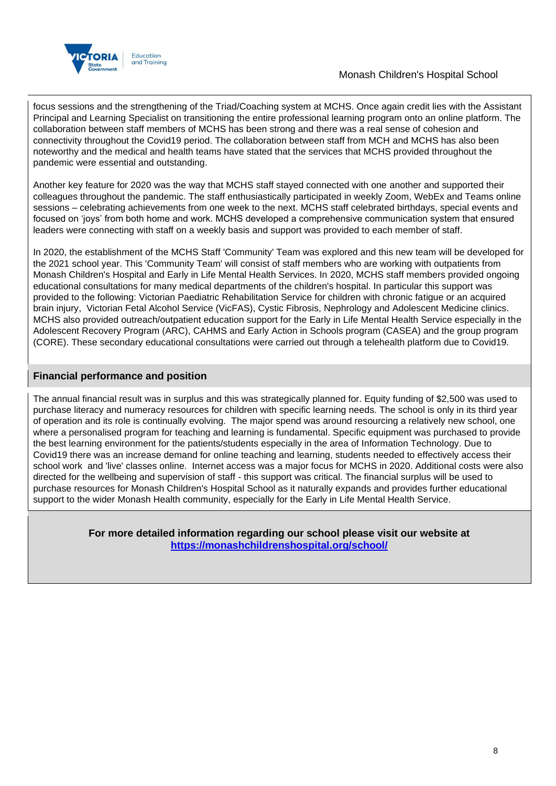

## Monash Children's Hospital School

focus sessions and the strengthening of the Triad/Coaching system at MCHS. Once again credit lies with the Assistant Principal and Learning Specialist on transitioning the entire professional learning program onto an online platform. The collaboration between staff members of MCHS has been strong and there was a real sense of cohesion and connectivity throughout the Covid19 period. The collaboration between staff from MCH and MCHS has also been noteworthy and the medical and health teams have stated that the services that MCHS provided throughout the pandemic were essential and outstanding.

Another key feature for 2020 was the way that MCHS staff stayed connected with one another and supported their colleagues throughout the pandemic. The staff enthusiastically participated in weekly Zoom, WebEx and Teams online sessions – celebrating achievements from one week to the next. MCHS staff celebrated birthdays, special events and focused on 'joys' from both home and work. MCHS developed a comprehensive communication system that ensured leaders were connecting with staff on a weekly basis and support was provided to each member of staff.

In 2020, the establishment of the MCHS Staff 'Community' Team was explored and this new team will be developed for the 2021 school year. This 'Community Team' will consist of staff members who are working with outpatients from Monash Children's Hospital and Early in Life Mental Health Services. In 2020, MCHS staff members provided ongoing educational consultations for many medical departments of the children's hospital. In particular this support was provided to the following: Victorian Paediatric Rehabilitation Service for children with chronic fatigue or an acquired brain injury, Victorian Fetal Alcohol Service (VicFAS), Cystic Fibrosis, Nephrology and Adolescent Medicine clinics. MCHS also provided outreach/outpatient education support for the Early in Life Mental Health Service especially in the Adolescent Recovery Program (ARC), CAHMS and Early Action in Schools program (CASEA) and the group program (CORE). These secondary educational consultations were carried out through a telehealth platform due to Covid19.

## **Financial performance and position**

The annual financial result was in surplus and this was strategically planned for. Equity funding of \$2,500 was used to purchase literacy and numeracy resources for children with specific learning needs. The school is only in its third year of operation and its role is continually evolving. The major spend was around resourcing a relatively new school, one where a personalised program for teaching and learning is fundamental. Specific equipment was purchased to provide the best learning environment for the patients/students especially in the area of Information Technology. Due to Covid19 there was an increase demand for online teaching and learning, students needed to effectively access their school work and 'live' classes online. Internet access was a major focus for MCHS in 2020. Additional costs were also directed for the wellbeing and supervision of staff - this support was critical. The financial surplus will be used to purchase resources for Monash Children's Hospital School as it naturally expands and provides further educational support to the wider Monash Health community, especially for the Early in Life Mental Health Service.

> **For more detailed information regarding our school please visit our website at <https://monashchildrenshospital.org/school/>**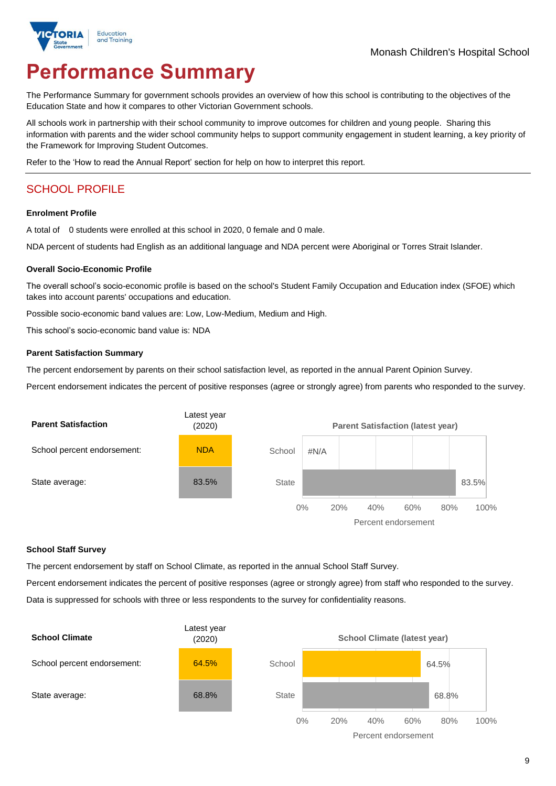

# **Performance Summary**

The Performance Summary for government schools provides an overview of how this school is contributing to the objectives of the Education State and how it compares to other Victorian Government schools.

All schools work in partnership with their school community to improve outcomes for children and young people. Sharing this information with parents and the wider school community helps to support community engagement in student learning, a key priority of the Framework for Improving Student Outcomes.

Refer to the 'How to read the Annual Report' section for help on how to interpret this report.

## SCHOOL PROFILE

#### **Enrolment Profile**

A total of 0 students were enrolled at this school in 2020, 0 female and 0 male.

NDA percent of students had English as an additional language and NDA percent were Aboriginal or Torres Strait Islander.

#### **Overall Socio-Economic Profile**

The overall school's socio-economic profile is based on the school's Student Family Occupation and Education index (SFOE) which takes into account parents' occupations and education.

Possible socio-economic band values are: Low, Low-Medium, Medium and High.

This school's socio-economic band value is: NDA

#### **Parent Satisfaction Summary**

The percent endorsement by parents on their school satisfaction level, as reported in the annual Parent Opinion Survey.

Percent endorsement indicates the percent of positive responses (agree or strongly agree) from parents who responded to the survey.



#### **School Staff Survey**

The percent endorsement by staff on School Climate, as reported in the annual School Staff Survey.

Percent endorsement indicates the percent of positive responses (agree or strongly agree) from staff who responded to the survey. Data is suppressed for schools with three or less respondents to the survey for confidentiality reasons.

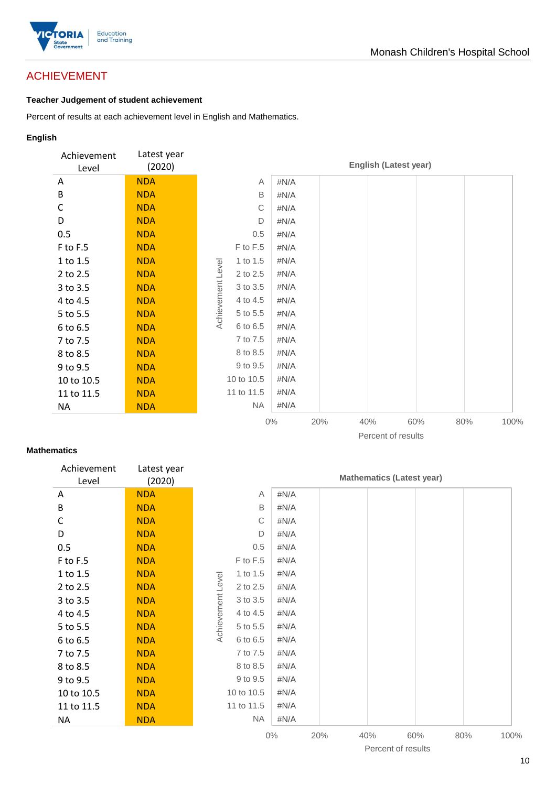

## ACHIEVEMENT

## **Teacher Judgement of student achievement**

Percent of results at each achievement level in English and Mathematics.

### **English**

| Achievement<br>Level | Latest year<br>(2020) |                               |       |     | <b>English (Latest year)</b> |     |     |      |
|----------------------|-----------------------|-------------------------------|-------|-----|------------------------------|-----|-----|------|
| A                    | <b>NDA</b>            | A                             | #N/A  |     |                              |     |     |      |
| B                    | <b>NDA</b>            | B                             | #N/A  |     |                              |     |     |      |
| C                    | <b>NDA</b>            | C                             | #N/A  |     |                              |     |     |      |
| D                    | <b>NDA</b>            | D                             | #N/A  |     |                              |     |     |      |
| 0.5                  | <b>NDA</b>            | 0.5                           | #N/A  |     |                              |     |     |      |
| F to F.5             | <b>NDA</b>            | F to F.5                      | #N/A  |     |                              |     |     |      |
| 1 to 1.5             | <b>NDA</b>            | 1 to 1.5                      | #N/A  |     |                              |     |     |      |
| 2 to 2.5             | <b>NDA</b>            | Achievement Level<br>2 to 2.5 | #N/A  |     |                              |     |     |      |
| 3 to 3.5             | <b>NDA</b>            | 3 to 3.5                      | #N/A  |     |                              |     |     |      |
| 4 to 4.5             | <b>NDA</b>            | 4 to 4.5                      | #N/A  |     |                              |     |     |      |
| 5 to 5.5             | <b>NDA</b>            | 5 to 5.5                      | #N/A  |     |                              |     |     |      |
| 6 to 6.5             | <b>NDA</b>            | 6 to 6.5                      | #N/A  |     |                              |     |     |      |
| 7 to 7.5             | <b>NDA</b>            | 7 to 7.5                      | #N/A  |     |                              |     |     |      |
| 8 to 8.5             | <b>NDA</b>            | 8 to 8.5                      | #N/A  |     |                              |     |     |      |
| 9 to 9.5             | <b>NDA</b>            | 9 to 9.5                      | #N/A  |     |                              |     |     |      |
| 10 to 10.5           | <b>NDA</b>            | 10 to 10.5                    | #N/A  |     |                              |     |     |      |
| 11 to 11.5           | <b>NDA</b>            | 11 to 11.5                    | #N/A  |     |                              |     |     |      |
| <b>NA</b>            | <b>NDA</b>            | NA                            | #N/A  |     |                              |     |     |      |
|                      |                       |                               | $0\%$ | 20% | 40%                          | 60% | 80% | 100% |

### Percent of results

### **Mathematics**

| Achievement<br>Level | Latest year<br>(2020) |                   |            |         |     |     | <b>Mathematics (Latest year)</b> |     |      |
|----------------------|-----------------------|-------------------|------------|---------|-----|-----|----------------------------------|-----|------|
| A                    | <b>NDA</b>            |                   | Α          | #N/A    |     |     |                                  |     |      |
| B                    | <b>NDA</b>            |                   | B          | #N/A    |     |     |                                  |     |      |
| C                    | <b>NDA</b>            |                   | С          | $\#N/A$ |     |     |                                  |     |      |
| D                    | <b>NDA</b>            |                   | D          | #N/A    |     |     |                                  |     |      |
| 0.5                  | <b>NDA</b>            |                   | 0.5        | #N/A    |     |     |                                  |     |      |
| F to F.5             | <b>NDA</b>            |                   | F to F.5   | #N/A    |     |     |                                  |     |      |
| 1 to 1.5             | <b>NDA</b>            |                   | 1 to 1.5   | $\#N/A$ |     |     |                                  |     |      |
| 2 to 2.5             | <b>NDA</b>            |                   | 2 to 2.5   | $\#N/A$ |     |     |                                  |     |      |
| 3 to 3.5             | <b>NDA</b>            | Achievement Level | 3 to 3.5   | #N/A    |     |     |                                  |     |      |
| 4 to 4.5             | <b>NDA</b>            |                   | 4 to 4.5   | #N/A    |     |     |                                  |     |      |
| 5 to 5.5             | <b>NDA</b>            |                   | 5 to 5.5   | $\#N/A$ |     |     |                                  |     |      |
| 6 to 6.5             | <b>NDA</b>            |                   | 6 to 6.5   | #N/A    |     |     |                                  |     |      |
| 7 to 7.5             | <b>NDA</b>            |                   | 7 to 7.5   | #N/A    |     |     |                                  |     |      |
| 8 to 8.5             | <b>NDA</b>            |                   | 8 to 8.5   | #N/A    |     |     |                                  |     |      |
| 9 to 9.5             | <b>NDA</b>            |                   | 9 to 9.5   | $\#N/A$ |     |     |                                  |     |      |
| 10 to 10.5           | <b>NDA</b>            |                   | 10 to 10.5 | #N/A    |     |     |                                  |     |      |
| 11 to 11.5           | <b>NDA</b>            |                   | 11 to 11.5 | #N/A    |     |     |                                  |     |      |
| <b>NA</b>            | <b>NDA</b>            |                   | <b>NA</b>  | $\#N/A$ |     |     |                                  |     |      |
|                      |                       |                   |            | $0\%$   | 20% | 40% | 60%                              | 80% | 100% |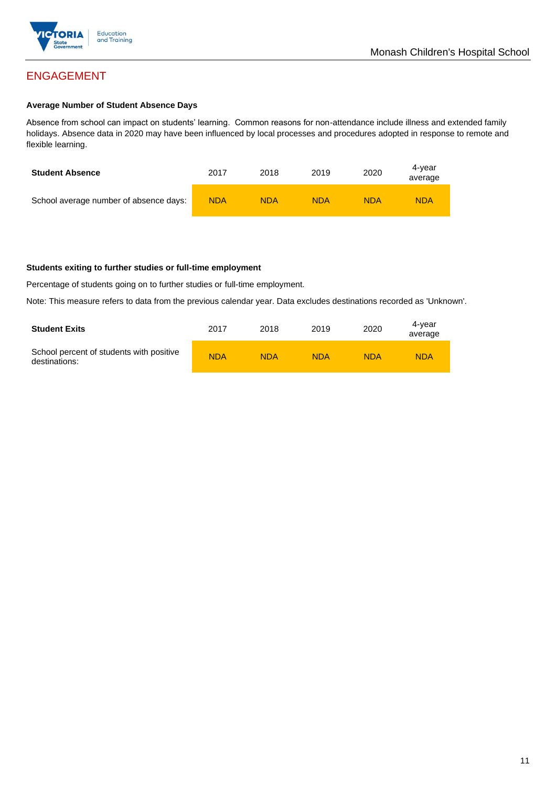

## ENGAGEMENT

#### **Average Number of Student Absence Days**

Absence from school can impact on students' learning. Common reasons for non-attendance include illness and extended family holidays. Absence data in 2020 may have been influenced by local processes and procedures adopted in response to remote and flexible learning.

| <b>Student Absence</b>                 | 2017       | 2018       | 2019       | 2020       | 4-vear<br>average |
|----------------------------------------|------------|------------|------------|------------|-------------------|
| School average number of absence days: | <b>NDA</b> | <b>NDA</b> | <b>NDA</b> | <b>NDA</b> | <b>NDA</b>        |

#### **Students exiting to further studies or full-time employment**

Percentage of students going on to further studies or full-time employment.

Note: This measure refers to data from the previous calendar year. Data excludes destinations recorded as 'Unknown'.

| <b>Student Exits</b>                                      | 2017       | 2018       | 2019       | 2020       | 4-vear<br>average |
|-----------------------------------------------------------|------------|------------|------------|------------|-------------------|
| School percent of students with positive<br>destinations: | <b>NDA</b> | <b>NDA</b> | <b>NDA</b> | <b>NDA</b> | <b>NDA</b>        |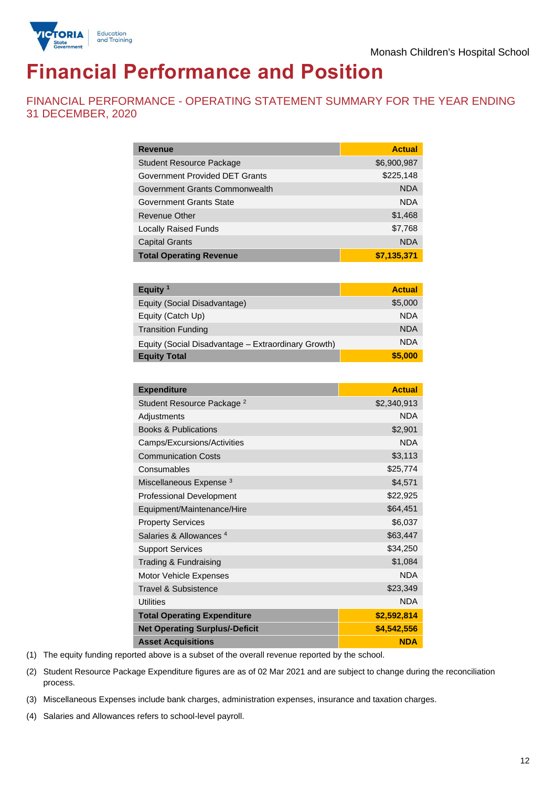

# **Financial Performance and Position**

FINANCIAL PERFORMANCE - OPERATING STATEMENT SUMMARY FOR THE YEAR ENDING 31 DECEMBER, 2020

| <b>Revenue</b>                  | <b>Actual</b> |
|---------------------------------|---------------|
| <b>Student Resource Package</b> | \$6,900,987   |
| Government Provided DET Grants  | \$225,148     |
| Government Grants Commonwealth  | <b>NDA</b>    |
| Government Grants State         | <b>NDA</b>    |
| Revenue Other                   | \$1,468       |
| <b>Locally Raised Funds</b>     | \$7,768       |
| <b>Capital Grants</b>           | <b>NDA</b>    |
| <b>Total Operating Revenue</b>  | \$7,135,371   |

| Equity $1$                                          | <b>Actual</b> |
|-----------------------------------------------------|---------------|
| Equity (Social Disadvantage)                        | \$5,000       |
| Equity (Catch Up)                                   | <b>NDA</b>    |
| <b>Transition Funding</b>                           | <b>NDA</b>    |
| Equity (Social Disadvantage - Extraordinary Growth) | <b>NDA</b>    |
| <b>Equity Total</b>                                 | \$5,000       |

| <b>Expenditure</b>                    | <b>Actual</b> |
|---------------------------------------|---------------|
| Student Resource Package <sup>2</sup> | \$2,340,913   |
| Adjustments                           | <b>NDA</b>    |
| <b>Books &amp; Publications</b>       | \$2,901       |
| Camps/Excursions/Activities           | <b>NDA</b>    |
| <b>Communication Costs</b>            | \$3,113       |
| Consumables                           | \$25,774      |
| Miscellaneous Expense <sup>3</sup>    | \$4,571       |
| <b>Professional Development</b>       | \$22,925      |
| Equipment/Maintenance/Hire            | \$64,451      |
| <b>Property Services</b>              | \$6,037       |
| Salaries & Allowances <sup>4</sup>    | \$63,447      |
| <b>Support Services</b>               | \$34,250      |
| Trading & Fundraising                 | \$1,084       |
| Motor Vehicle Expenses                | <b>NDA</b>    |
| <b>Travel &amp; Subsistence</b>       | \$23,349      |
| <b>Utilities</b>                      | <b>NDA</b>    |
| <b>Total Operating Expenditure</b>    | \$2,592,814   |
| <b>Net Operating Surplus/-Deficit</b> | \$4,542,556   |
| <b>Asset Acquisitions</b>             | <b>NDA</b>    |

(1) The equity funding reported above is a subset of the overall revenue reported by the school.

(2) Student Resource Package Expenditure figures are as of 02 Mar 2021 and are subject to change during the reconciliation process.

(3) Miscellaneous Expenses include bank charges, administration expenses, insurance and taxation charges.

(4) Salaries and Allowances refers to school-level payroll.